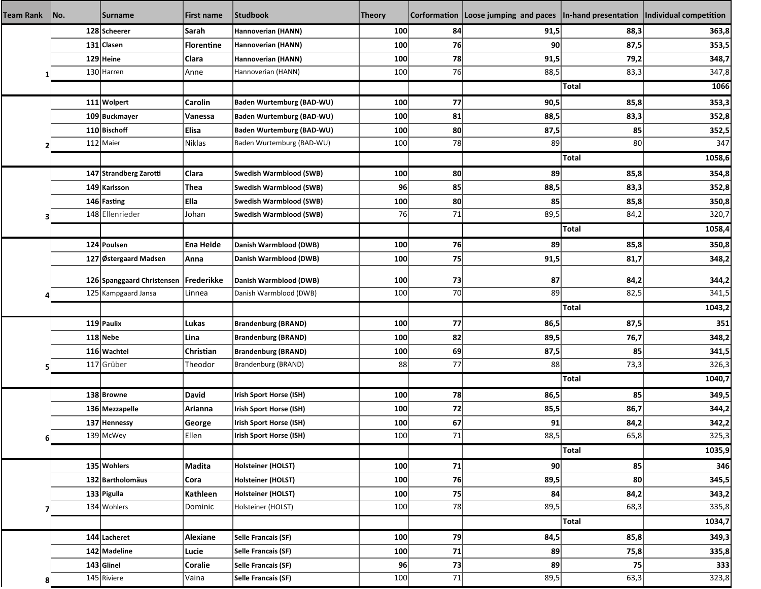| <b>Team Rank</b> | No. | <b>Surname</b>                          | First name     | <b>Studbook</b>                  | <b>Theory</b> |    | Corformation   Loose jumping and paces   In-hand presentation   Individual competition |              |        |
|------------------|-----|-----------------------------------------|----------------|----------------------------------|---------------|----|----------------------------------------------------------------------------------------|--------------|--------|
|                  |     | 128 Scheerer                            | Sarah          | Hannoverian (HANN)               | 100           | 84 | 91,5                                                                                   | 88,3         | 363,8  |
|                  |     | 131 Clasen                              | Florentine     | Hannoverian (HANN)               | 100           | 76 | 90                                                                                     | 87,5         | 353,5  |
|                  |     | 129 Heine                               | <b>Clara</b>   | Hannoverian (HANN)               | 100           | 78 | 91,5                                                                                   | 79,2         | 348,7  |
|                  |     | 130 Harren                              | Anne           | Hannoverian (HANN)               | 100           | 76 | 88,5                                                                                   | 83,3         | 347,8  |
|                  |     |                                         |                |                                  |               |    |                                                                                        | Total        | 1066   |
|                  |     | 111 Wolpert                             | Carolin        | <b>Baden Wurtemburg (BAD-WU)</b> | 100           | 77 | 90,5                                                                                   | 85,8         | 353,3  |
|                  |     | 109 Buckmayer                           | Vanessa        | <b>Baden Wurtemburg (BAD-WU)</b> | 100           | 81 | 88,5                                                                                   | 83,3         | 352,8  |
|                  |     | 110 Bischoff                            | <b>Elisa</b>   | <b>Baden Wurtemburg (BAD-WU)</b> | 100           | 80 | 87,5                                                                                   | 85           | 352,5  |
|                  |     | 112 Maier                               | Niklas         | Baden Wurtemburg (BAD-WU)        | 100           | 78 | 89                                                                                     | 80           | 347    |
|                  |     |                                         |                |                                  |               |    |                                                                                        | Total        | 1058,6 |
|                  |     | 147 Strandberg Zarotti                  | Clara          | Swedish Warmblood (SWB)          | 100           | 80 | 89                                                                                     | 85,8         | 354,8  |
|                  |     | 149 Karlsson                            | Thea           | Swedish Warmblood (SWB)          | 96            | 85 | 88,5                                                                                   | 83,3         | 352,8  |
|                  |     | 146 Fasting                             | Ella           | Swedish Warmblood (SWB)          | 100           | 80 | 85                                                                                     | 85,8         | 350,8  |
|                  |     | 148 Ellenrieder                         | Johan          | Swedish Warmblood (SWB)          | 76            | 71 | 89,5                                                                                   | 84,2         | 320,7  |
|                  |     |                                         |                |                                  |               |    |                                                                                        | <b>Total</b> | 1058,4 |
|                  |     | 124 Poulsen                             | Ena Heide      | Danish Warmblood (DWB)           | 100           | 76 | 89                                                                                     | 85,8         | 350,8  |
|                  |     | 127 Østergaard Madsen                   | Anna           | Danish Warmblood (DWB)           | 100           | 75 | 91,5                                                                                   | 81,7         | 348,2  |
|                  |     | 126 Spanggaard Christensen   Frederikke |                | Danish Warmblood (DWB)           | 100           | 73 | 87                                                                                     | 84,2         | 344,2  |
|                  |     | 125 Kampgaard Jansa                     | Linnea         | Danish Warmblood (DWB)           | 100           | 70 | 89                                                                                     | 82,5         | 341,5  |
|                  |     |                                         |                |                                  |               |    |                                                                                        | Total        | 1043,2 |
|                  |     | 119 Paulix                              | Lukas          | <b>Brandenburg (BRAND)</b>       | 100           | 77 | 86,5                                                                                   | 87,5         | 351    |
|                  |     | 118 Nebe                                | Lina           | <b>Brandenburg (BRAND)</b>       | 100           | 82 | 89,5                                                                                   | 76,7         | 348,2  |
|                  |     | 116 Wachtel                             | Christian      | <b>Brandenburg (BRAND)</b>       | 100           | 69 | 87,5                                                                                   | 85           | 341,5  |
|                  |     | 117 Grüber                              | Theodor        | Brandenburg (BRAND)              | 88            | 77 | 88                                                                                     | 73,3         | 326,3  |
|                  |     |                                         |                |                                  |               |    |                                                                                        | <b>Total</b> | 1040,7 |
|                  |     | 138 Browne                              | David          | Irish Sport Horse (ISH)          | 100           | 78 | 86,5                                                                                   | 85           | 349,5  |
|                  |     | 136 Mezzapelle                          | Arianna        | Irish Sport Horse (ISH)          | 100           | 72 | 85,5                                                                                   | 86,7         | 344,2  |
| 6 <sup>1</sup>   |     | 137 Hennessy                            | George         | Irish Sport Horse (ISH)          | 100           | 67 | 91                                                                                     | 84,2         | 342,2  |
|                  |     | 139 McWey                               | Ellen          | Irish Sport Horse (ISH)          | 100           | 71 | 88,5                                                                                   | 65,8         | 325,3  |
|                  |     |                                         |                |                                  |               |    |                                                                                        | Total        | 1035,9 |
|                  |     | 135 Wohlers                             | Madita         | Holsteiner (HOLST)               | 100           | 71 | 90                                                                                     | 85           | 346    |
|                  |     | 132 Bartholomäus                        | Cora           | Holsteiner (HOLST)               | 100           | 76 | 89,5                                                                                   | 80           | 345,5  |
|                  |     | 133 Pigulla                             | Kathleen       | Holsteiner (HOLST)               | 100           | 75 | 84                                                                                     | 84,2         | 343,2  |
| 7                |     | 134 Wohlers                             | Dominic        | Holsteiner (HOLST)               | 100           | 78 | 89,5                                                                                   | 68,3         | 335,8  |
|                  |     |                                         |                |                                  |               |    |                                                                                        | Total        | 1034,7 |
|                  |     | 144 Lacheret                            | Alexiane       | Selle Francais (SF)              | 100           | 79 | 84,5                                                                                   | 85,8         | 349,3  |
|                  |     | 142 Madeline                            | Lucie          | Selle Francais (SF)              | 100           | 71 | 89                                                                                     | 75,8         | 335,8  |
| 8                |     | $143$ Glinel                            | <b>Coralie</b> | Selle Francais (SF)              | 96            | 73 | 89                                                                                     | 75           | 333    |
|                  |     | 145 Riviere                             | Vaina          | Selle Francais (SF)              | 100           | 71 | 89,5                                                                                   | 63,3         | 323,8  |